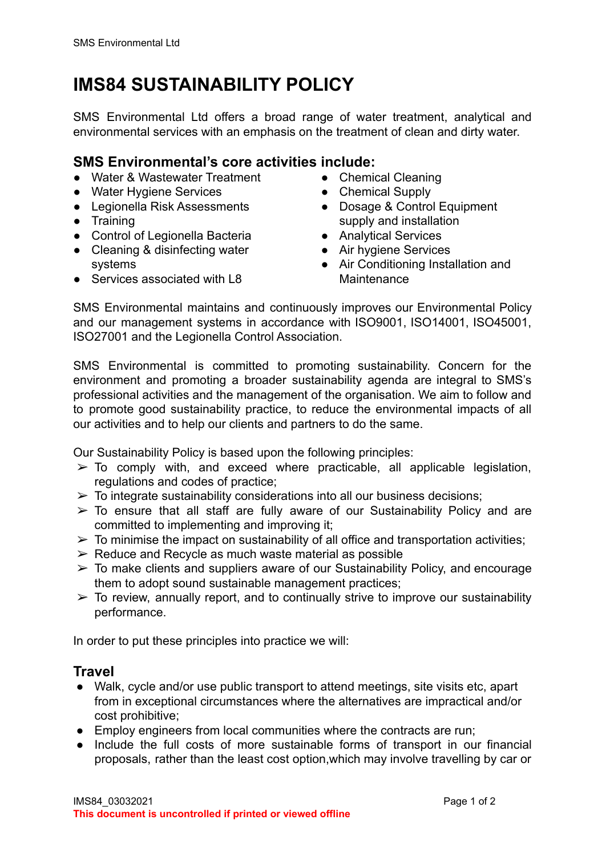# **IMS84 SUSTAINABILITY POLICY**

SMS Environmental Ltd offers a broad range of water treatment, analytical and environmental services with an emphasis on the treatment of clean and dirty water.

#### **SMS Environmental's core activities include:**

- Water & Wastewater Treatment
- Water Hygiene Services
- Legionella Risk Assessments
- Training
- Control of Legionella Bacteria
- Cleaning & disinfecting water systems
- Services associated with L8
- Chemical Cleaning
- Chemical Supply
- Dosage & Control Equipment supply and installation
- Analytical Services
- Air hygiene Services
- Air Conditioning Installation and **Maintenance**

SMS Environmental maintains and continuously improves our Environmental Policy and our management systems in accordance with ISO9001, ISO14001, ISO45001, ISO27001 and the Legionella Control Association.

SMS Environmental is committed to promoting sustainability. Concern for the environment and promoting a broader sustainability agenda are integral to SMS's professional activities and the management of the organisation. We aim to follow and to promote good sustainability practice, to reduce the environmental impacts of all our activities and to help our clients and partners to do the same.

Our Sustainability Policy is based upon the following principles:

- $\geq$  To comply with, and exceed where practicable, all applicable legislation, regulations and codes of practice;
- $\triangleright$  To integrate sustainability considerations into all our business decisions;
- $\geq$  To ensure that all staff are fully aware of our Sustainability Policy and are committed to implementing and improving it;
- $\triangleright$  To minimise the impact on sustainability of all office and transportation activities;
- $\triangleright$  Reduce and Recycle as much waste material as possible
- $\geq$  To make clients and suppliers aware of our Sustainability Policy, and encourage them to adopt sound sustainable management practices;
- $\geq$  To review, annually report, and to continually strive to improve our sustainability performance.

In order to put these principles into practice we will:

### **Travel**

- Walk, cycle and/or use public transport to attend meetings, site visits etc, apart from in exceptional circumstances where the alternatives are impractical and/or cost prohibitive;
- Employ engineers from local communities where the contracts are run;
- Include the full costs of more sustainable forms of transport in our financial proposals, rather than the least cost option,which may involve travelling by car or